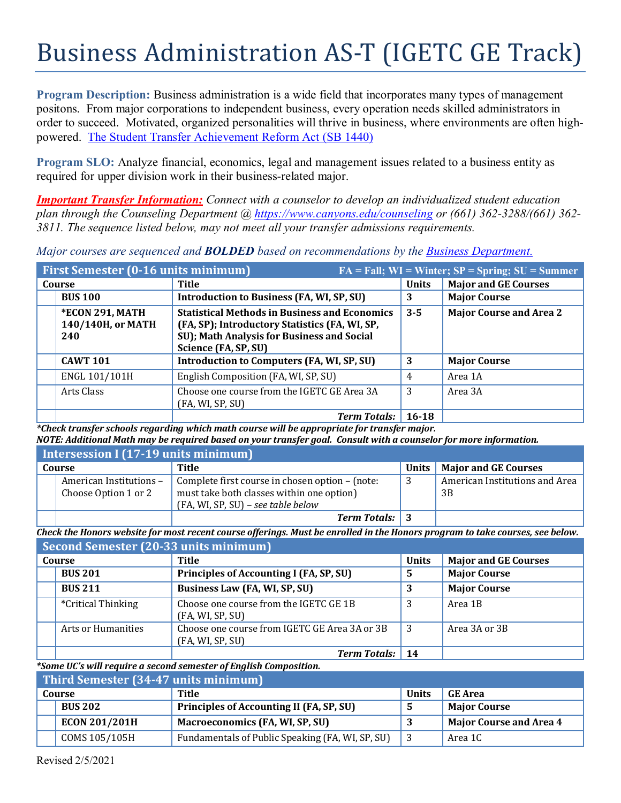## Business Administration AS-T (IGETC GE Track)

**Program Description:** Business administration is a wide field that incorporates many types of management positons. From major corporations to independent business, every operation needs skilled administrators in order to succeed. Motivated, organized personalities will thrive in business, where environments are often highpowered. [The Student Transfer Achievement Reform Act \(SB 1440\)](https://www2.calstate.edu/apply/transfer/Pages/ccc-associate-degree-for-transfer.aspx)

**Program SLO:** Analyze financial, economics, legal and management issues related to a business entity as required for upper division work in their business-related major.

*Important Transfer Information: Connect with a counselor to develop an individualized student education plan through the Counseling Department @<https://www.canyons.edu/counseling> or (661) 362-3288/(661) 362- 3811. The sequence listed below, may not meet all your transfer admissions requirements.* 

*Major courses are sequenced and BOLDED based on recommendations by the [Business Department.](https://www.canyons.edu/academics/schools/business/)*

|        | <b>First Semester (0-16 units minimum)</b><br>$FA = Fall; WI = Winter; SP = Spring; SU = Summer$ |                                                                                                                                                                              |              |                                |  |
|--------|--------------------------------------------------------------------------------------------------|------------------------------------------------------------------------------------------------------------------------------------------------------------------------------|--------------|--------------------------------|--|
| Course |                                                                                                  | Title                                                                                                                                                                        | <b>Units</b> | <b>Major and GE Courses</b>    |  |
|        | <b>BUS 100</b>                                                                                   | <b>Introduction to Business (FA, WI, SP, SU)</b>                                                                                                                             | 3            | <b>Major Course</b>            |  |
|        | *ECON 291, MATH<br>140/140H, or MATH<br>240                                                      | <b>Statistical Methods in Business and Economics</b><br>(FA, SP); Introductory Statistics (FA, WI, SP,<br>SU); Math Analysis for Business and Social<br>Science (FA, SP, SU) | $3 - 5$      | <b>Major Course and Area 2</b> |  |
|        | <b>CAWT 101</b>                                                                                  | Introduction to Computers (FA, WI, SP, SU)                                                                                                                                   | 3            | <b>Major Course</b>            |  |
|        | ENGL 101/101H                                                                                    | English Composition (FA, WI, SP, SU)                                                                                                                                         | 4            | Area 1A                        |  |
|        | Arts Class                                                                                       | Choose one course from the IGETC GE Area 3A<br>(FA, WI, SP, SU)                                                                                                              | 3            | Area 3A                        |  |
|        |                                                                                                  | Term Totals: 16-18                                                                                                                                                           |              |                                |  |

*\*Check transfer schools regarding which math course will be appropriate for transfer major. NOTE: Additional Math may be required based on your transfer goal. Consult with a counselor for more information.*

| Intersession I (17-19 units minimum) |                                                 |                                                                                                                                    |       |                                      |
|--------------------------------------|-------------------------------------------------|------------------------------------------------------------------------------------------------------------------------------------|-------|--------------------------------------|
|                                      | Course                                          | Title                                                                                                                              | Units | <b>Major and GE Courses</b>          |
|                                      | American Institutions -<br>Choose Option 1 or 2 | Complete first course in chosen option – (note:<br>must take both classes within one option)<br>(FA, WI, SP, SU) - see table below |       | American Institutions and Area<br>3B |
|                                      |                                                 | <b>Term Totals:</b> 3                                                                                                              |       |                                      |

*Check the Honors website for most recent course offerings. Must be enrolled in the Honors program to take courses, see below.*

|        | <b>Second Semester (20-33 units minimum)</b> |                                                                   |              |                             |
|--------|----------------------------------------------|-------------------------------------------------------------------|--------------|-----------------------------|
| Course |                                              | Title                                                             | <b>Units</b> | <b>Major and GE Courses</b> |
|        | <b>BUS 201</b>                               | Principles of Accounting I (FA, SP, SU)                           | 5            | <b>Major Course</b>         |
|        | <b>BUS 211</b>                               | Business Law (FA, WI, SP, SU)                                     |              | <b>Major Course</b>         |
|        | <i>*Critical Thinking</i>                    | Choose one course from the IGETC GE 1B<br>(FA, WI, SP, SU)        | 3            | Area 1B                     |
|        | Arts or Humanities                           | Choose one course from IGETC GE Area 3A or 3B<br>(FA, WI, SP, SU) | 3            | Area 3A or 3B               |
|        |                                              | <b>Term Totals:</b>                                               | 14           |                             |

*\*Some UC's will require a second semester of English Composition.*

| Third Semester (34-47 units minimum) |                      |                                                  |              |                                |
|--------------------------------------|----------------------|--------------------------------------------------|--------------|--------------------------------|
| Course                               |                      | Title                                            | <b>Units</b> | <b>GE Area</b>                 |
|                                      | <b>BUS 202</b>       | Principles of Accounting II (FA, SP, SU)         |              | <b>Major Course</b>            |
|                                      | <b>ECON 201/201H</b> | Macroeconomics (FA, WI, SP, SU)                  |              | <b>Major Course and Area 4</b> |
|                                      | COMS 105/105H        | Fundamentals of Public Speaking (FA, WI, SP, SU) |              | Area 1C                        |